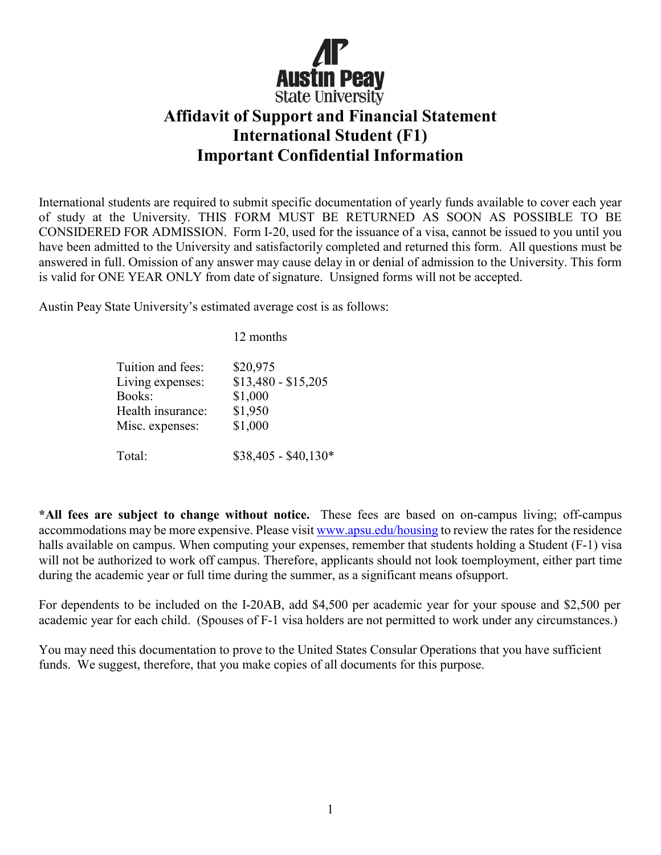

## **Affidavit of Support and Financial Statement International Student (F1) Important Confidential Information**

International students are required to submit specific documentation of yearly funds available to cover each year of study at the University. THIS FORM MUST BE RETURNED AS SOON AS POSSIBLE TO BE CONSIDERED FOR ADMISSION. Form I-20, used for the issuance of a visa, cannot be issued to you until you have been admitted to the University and satisfactorily completed and returned this form. All questions must be answered in full. Omission of any answer may cause delay in or denial of admission to the University. This form is valid for ONE YEAR ONLY from date of signature. Unsigned forms will not be accepted.

Austin Peay State University's estimated average cost is as follows:

|                   | 12 months            |
|-------------------|----------------------|
| Tuition and fees: | \$20,975             |
| Living expenses:  | $$13,480 - $15,205$  |
| Books:            | \$1,000              |
| Health insurance: | \$1,950              |
| Misc. expenses:   | \$1,000              |
| Total:            | $$38,405 - $40,130*$ |

**\*All fees are subject to change without notice.** These fees are based on on-campus living; off-campus accommodations may be more expensive. Please visit [www.apsu.edu/housing](http://www.apsu.edu/housing) to review the rates for the residence halls available on campus. When computing your expenses, remember that students holding a Student (F-1) visa will not be authorized to work off campus. Therefore, applicants should not look toemployment, either part time during the academic year or full time during the summer, as a significant means ofsupport.

For dependents to be included on the I-20AB, add \$4,500 per academic year for your spouse and \$2,500 per academic year for each child. (Spouses of F-1 visa holders are not permitted to work under any circumstances.)

You may need this documentation to prove to the United States Consular Operations that you have sufficient funds. We suggest, therefore, that you make copies of all documents for this purpose.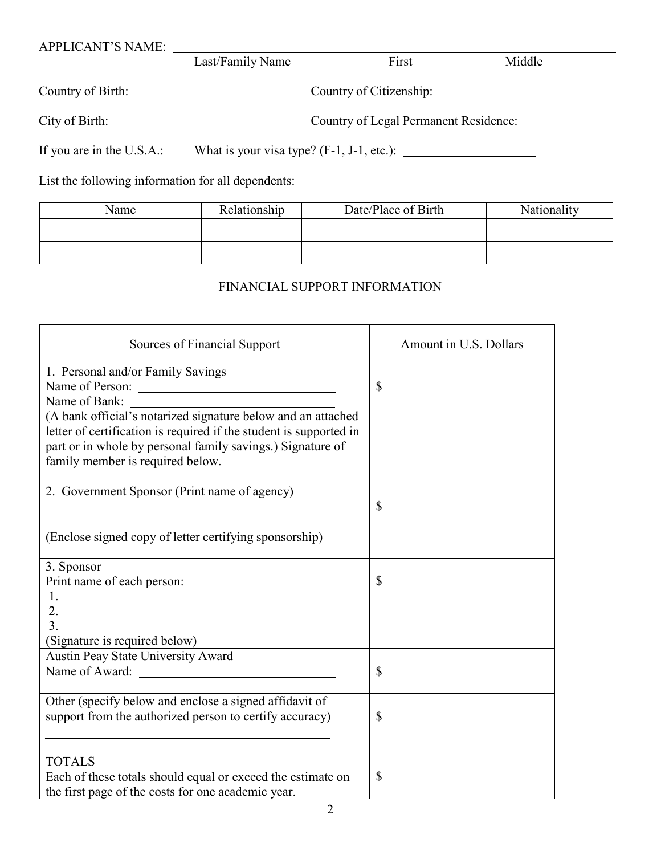| <b>APPLICANT'S NAME:</b>                           |                  |                                              |        |  |
|----------------------------------------------------|------------------|----------------------------------------------|--------|--|
|                                                    | Last/Family Name | First                                        | Middle |  |
| Country of Birth: New York 1988                    |                  |                                              |        |  |
| City of Birth:                                     |                  | Country of Legal Permanent Residence:        |        |  |
| If you are in the U.S.A.:                          |                  | What is your visa type? $(F-1, J-1, etc.)$ : |        |  |
| List the following information for all dependents: |                  |                                              |        |  |

| Name | Relationship | Date/Place of Birth | Nationality |
|------|--------------|---------------------|-------------|
|      |              |                     |             |
|      |              |                     |             |
|      |              |                     |             |

## FINANCIAL SUPPORT INFORMATION

| Sources of Financial Support                                       | Amount in U.S. Dollars |
|--------------------------------------------------------------------|------------------------|
| 1. Personal and/or Family Savings                                  |                        |
| Name of Person:                                                    | \$                     |
| Name of Bank:                                                      |                        |
| (A bank official's notarized signature below and an attached       |                        |
| letter of certification is required if the student is supported in |                        |
| part or in whole by personal family savings.) Signature of         |                        |
| family member is required below.                                   |                        |
|                                                                    |                        |
| 2. Government Sponsor (Print name of agency)                       |                        |
|                                                                    | \$                     |
|                                                                    |                        |
| (Enclose signed copy of letter certifying sponsorship)             |                        |
|                                                                    |                        |
| 3. Sponsor                                                         |                        |
| Print name of each person:                                         | \$                     |
| <u>l.</u>                                                          |                        |
|                                                                    |                        |
| $\frac{3}{2}$                                                      |                        |
| (Signature is required below)                                      |                        |
| Austin Peay State University Award                                 |                        |
| Name of Award:                                                     | \$                     |
|                                                                    |                        |
| Other (specify below and enclose a signed affidavit of             |                        |
| support from the authorized person to certify accuracy)            | \$                     |
|                                                                    |                        |
|                                                                    |                        |
| <b>TOTALS</b>                                                      |                        |
| Each of these totals should equal or exceed the estimate on        | \$                     |
| the first page of the costs for one academic year.                 |                        |